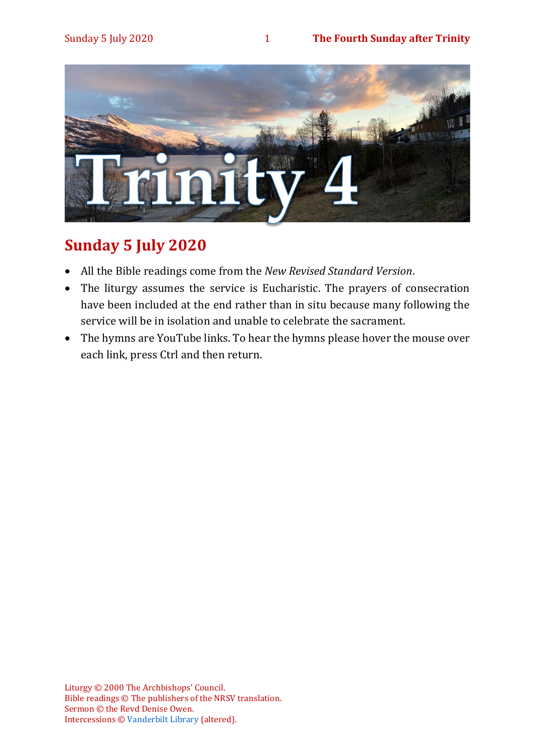

# **Sunday 5 July 2020**

- All the Bible readings come from the *New Revised Standard Version*.
- The liturgy assumes the service is Eucharistic. The prayers of consecration have been included at the end rather than in situ because many following the service will be in isolation and unable to celebrate the sacrament.
- The hymns are YouTube links. To hear the hymns please hover the mouse over each link, press Ctrl and then return.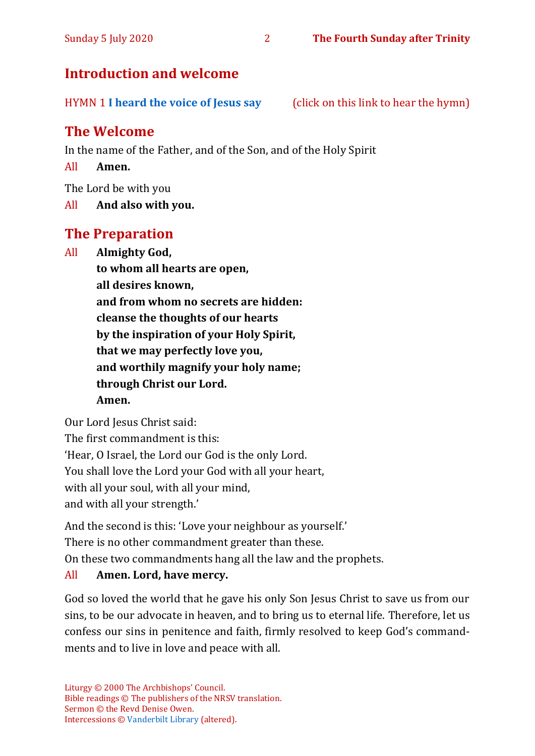## **Introduction and welcome**

HYMN 1 **[I heard the voice of Jesus say](https://www.youtube.com/watch?v=XUVCpF8-VuE)** (click on this link to hear the hymn)

# **The Welcome**

In the name of the Father, and of the Son, and of the Holy Spirit

All **Amen.**

The Lord be with you

All **And also with you.**

# **The Preparation**

All **Almighty God,**

**to whom all hearts are open, all desires known, and from whom no secrets are hidden: cleanse the thoughts of our hearts by the inspiration of your Holy Spirit, that we may perfectly love you, and worthily magnify your holy name; through Christ our Lord. Amen.**

Our Lord Jesus Christ said:

The first commandment is this: 'Hear, O Israel, the Lord our God is the only Lord. You shall love the Lord your God with all your heart, with all your soul, with all your mind, and with all your strength.'

And the second is this: 'Love your neighbour as yourself.'

There is no other commandment greater than these.

On these two commandments hang all the law and the prophets.

## All **Amen. Lord, have mercy.**

God so loved the world that he gave his only Son Jesus Christ to save us from our sins, to be our advocate in heaven, and to bring us to eternal life. Therefore, let us confess our sins in penitence and faith, firmly resolved to keep God's commandments and to live in love and peace with all.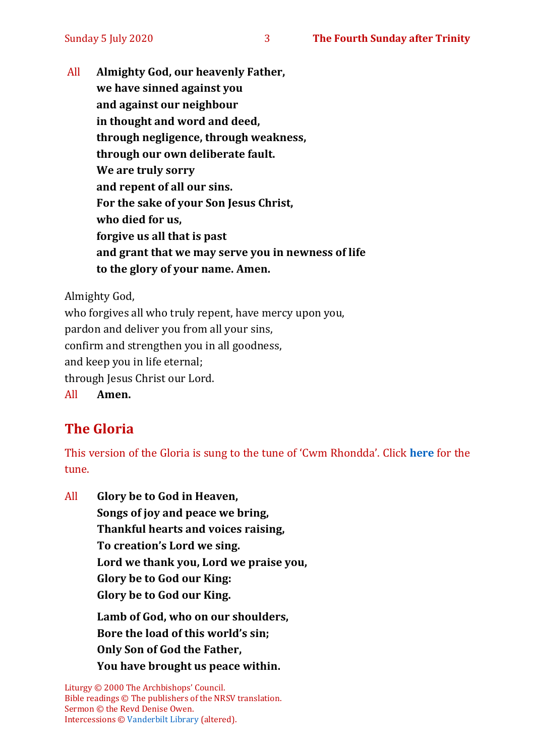All **Almighty God, our heavenly Father, we have sinned against you and against our neighbour in thought and word and deed, through negligence, through weakness, through our own deliberate fault. We are truly sorry and repent of all our sins. For the sake of your Son Jesus Christ, who died for us, forgive us all that is past and grant that we may serve you in newness of life to the glory of your name. Amen.**

Almighty God,

who forgives all who truly repent, have mercy upon you, pardon and deliver you from all your sins, confirm and strengthen you in all goodness, and keep you in life eternal; through Jesus Christ our Lord. All **Amen.**

# **The Gloria**

This version of the Gloria is sung to the tune of 'Cwm Rhondda'. Click **[here](about:blank)** for the tune.

All **Glory be to God in Heaven, Songs of joy and peace we bring, Thankful hearts and voices raising, To creation's Lord we sing. Lord we thank you, Lord we praise you, Glory be to God our King: Glory be to God our King. Lamb of God, who on our shoulders, Bore the load of this world's sin; Only Son of God the Father, You have brought us peace within.**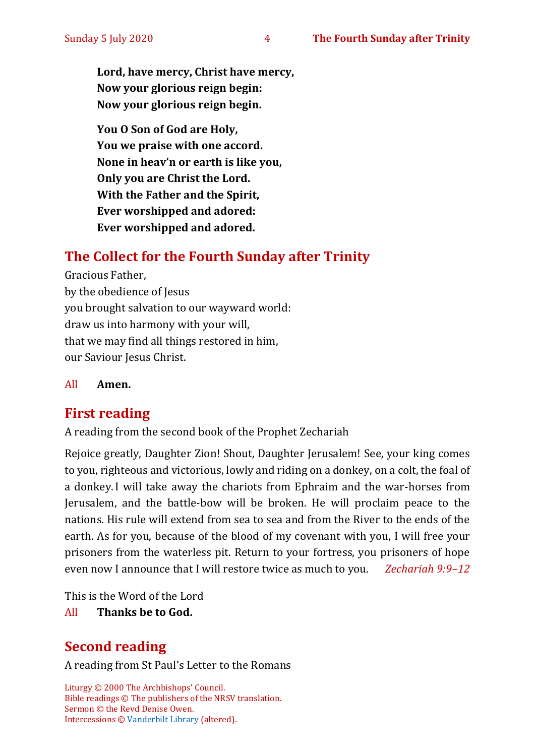**Lord, have mercy, Christ have mercy, Now your glorious reign begin: Now your glorious reign begin.**

**You O Son of God are Holy, You we praise with one accord. None in heav'n or earth is like you, Only you are Christ the Lord. With the Father and the Spirit, Ever worshipped and adored: Ever worshipped and adored.**

# **The Collect for the Fourth Sunday after Trinity**

Gracious Father, by the obedience of Jesus you brought salvation to our wayward world: draw us into harmony with your will, that we may find all things restored in him, our Saviour Jesus Christ.

All **Amen.**

## **First reading**

A reading from the second book of the Prophet Zechariah

Rejoice greatly, Daughter Zion! Shout, Daughter Jerusalem! See, your king comes to you, righteous and victorious, lowly and riding on a donkey, on a colt, the foal of a donkey.I will take away the chariots from Ephraim and the war-horses from Jerusalem, and the battle-bow will be broken. He will proclaim peace to the nations. His rule will extend from sea to sea and from the River to the ends of the earth. As for you, because of the blood of my covenant with you, I will free your prisoners from the waterless pit. Return to your fortress, you prisoners of hope even now I announce that I will restore twice as much to you. *Zechariah 9:9–12*

This is the Word of the Lord

All **Thanks be to God.**

# **Second reading**

A reading from St Paul's Letter to the Romans

Liturgy © 2000 The Archbishops' Council. Bible readings © The publishers of the NRSV translation. Sermon © the Revd Denise Owen. Intercessions © [Vanderbilt Library](https://lectionary.library.vanderbilt.edu/prayers.php?id=149) (altered).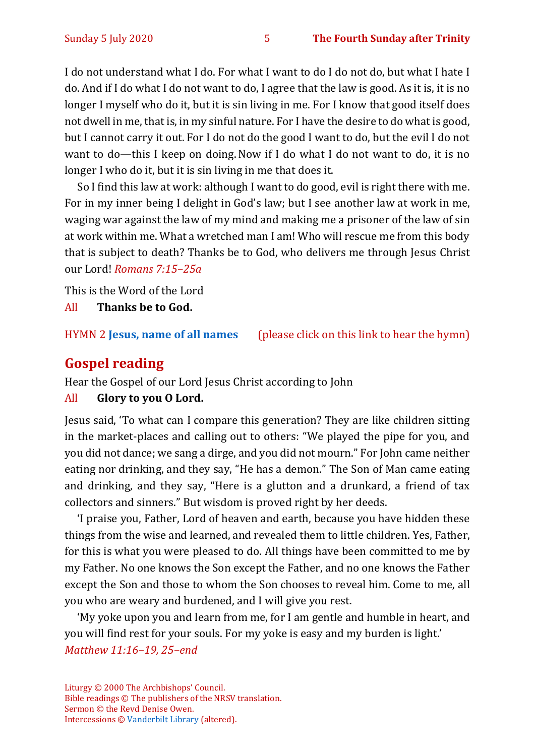I do not understand what I do. For what I want to do I do not do, but what I hate I do. And if I do what I do not want to do, I agree that the law is good. As it is, it is no longer I myself who do it, but it is sin living in me. For I know that good itself does not dwell in me, that is, in my sinful nature. For I have the desire to do what is good, but I cannot carry it out. For I do not do the good I want to do, but the evil I do not want to do—this I keep on doing.Now if I do what I do not want to do, it is no longer I who do it, but it is sin living in me that does it.

So I find this law at work: although I want to do good, evil is right there with me. For in my inner being I delight in God's law; but I see another law at work in me, waging war against the law of my mind and making me a prisoner of the law of sin at work within me. What a wretched man I am! Who will rescue me from this body that is subject to death? Thanks be to God, who delivers me through Jesus Christ our Lord! *Romans 7:15–25a*

This is the Word of the Lord

All **Thanks be to God.**

HYMN 2 **[Jesus, name of all names](https://www.youtube.com/watch?v=JEBAHFFJdW8)** (please click on this link to hear the hymn)

# **Gospel reading**

Hear the Gospel of our Lord Jesus Christ according to John

#### All **Glory to you O Lord.**

Jesus said, 'To what can I compare this generation? They are like children sitting in the market-places and calling out to others: "We played the pipe for you, and you did not dance; we sang a dirge, and you did not mourn." For John came neither eating nor drinking, and they say, "He has a demon." The Son of Man came eating and drinking, and they say, "Here is a glutton and a drunkard, a friend of tax collectors and sinners." But wisdom is proved right by her deeds.

'I praise you, Father, Lord of heaven and earth, because you have hidden these things from the wise and learned, and revealed them to little children. Yes, Father, for this is what you were pleased to do. All things have been committed to me by my Father. No one knows the Son except the Father, and no one knows the Father except the Son and those to whom the Son chooses to reveal him. Come to me, all you who are weary and burdened, and I will give you rest.

'My yoke upon you and learn from me, for I am gentle and humble in heart, and you will find rest for your souls. For my yoke is easy and my burden is light.' *Matthew 11:16–19, 25–end*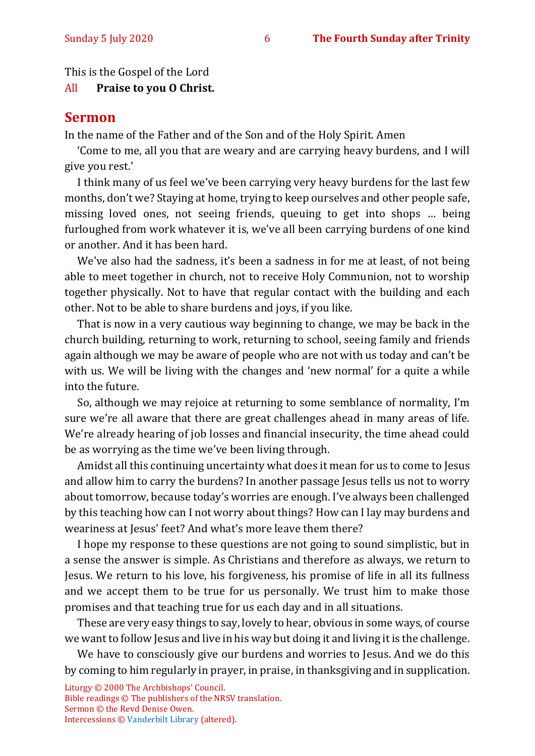This is the Gospel of the Lord

All **Praise to you O Christ.** 

## **Sermon**

In the name of the Father and of the Son and of the Holy Spirit. Amen

'Come to me, all you that are weary and are carrying heavy burdens, and I will give you rest.'

I think many of us feel we've been carrying very heavy burdens for the last few months, don't we? Staying at home, trying to keep ourselves and other people safe, missing loved ones, not seeing friends, queuing to get into shops … being furloughed from work whatever it is, we've all been carrying burdens of one kind or another. And it has been hard.

We've also had the sadness, it's been a sadness in for me at least, of not being able to meet together in church, not to receive Holy Communion, not to worship together physically. Not to have that regular contact with the building and each other. Not to be able to share burdens and joys, if you like.

That is now in a very cautious way beginning to change, we may be back in the church building, returning to work, returning to school, seeing family and friends again although we may be aware of people who are not with us today and can't be with us. We will be living with the changes and 'new normal' for a quite a while into the future.

So, although we may rejoice at returning to some semblance of normality, I'm sure we're all aware that there are great challenges ahead in many areas of life. We're already hearing of job losses and financial insecurity, the time ahead could be as worrying as the time we've been living through.

Amidst all this continuing uncertainty what does it mean for us to come to Jesus and allow him to carry the burdens? In another passage Jesus tells us not to worry about tomorrow, because today's worries are enough. I've always been challenged by this teaching how can I not worry about things? How can I lay may burdens and weariness at Jesus' feet? And what's more leave them there?

I hope my response to these questions are not going to sound simplistic, but in a sense the answer is simple. As Christians and therefore as always, we return to Jesus. We return to his love, his forgiveness, his promise of life in all its fullness and we accept them to be true for us personally. We trust him to make those promises and that teaching true for us each day and in all situations.

These are very easy things to say, lovely to hear, obvious in some ways, of course we want to follow Jesus and live in his way but doing it and living it is the challenge.

We have to consciously give our burdens and worries to Jesus. And we do this by coming to him regularly in prayer, in praise, in thanksgiving and in supplication.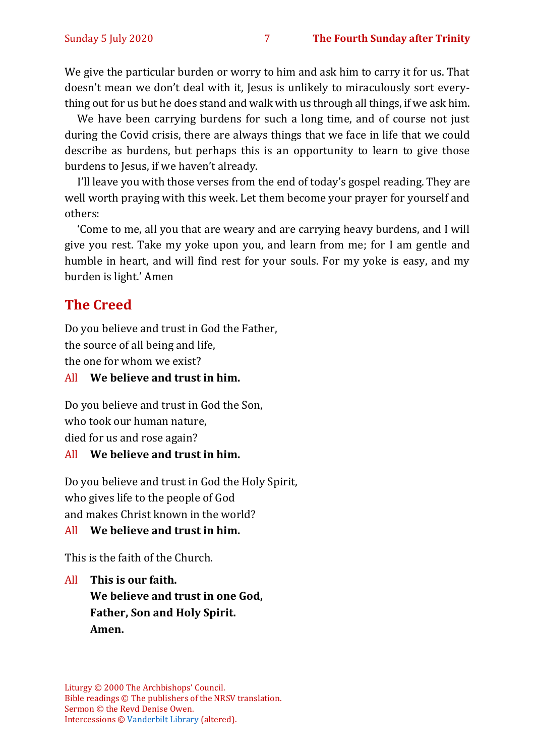We give the particular burden or worry to him and ask him to carry it for us. That doesn't mean we don't deal with it, Jesus is unlikely to miraculously sort everything out for us but he does stand and walk with us through all things, if we ask him.

We have been carrying burdens for such a long time, and of course not just during the Covid crisis, there are always things that we face in life that we could describe as burdens, but perhaps this is an opportunity to learn to give those burdens to Jesus, if we haven't already.

I'll leave you with those verses from the end of today's gospel reading. They are well worth praying with this week. Let them become your prayer for yourself and others:

'Come to me, all you that are weary and are carrying heavy burdens, and I will give you rest. Take my yoke upon you, and learn from me; for I am gentle and humble in heart, and will find rest for your souls. For my yoke is easy, and my burden is light.' Amen

## **The Creed**

Do you believe and trust in God the Father, the source of all being and life, the one for whom we exist?

All **We believe and trust in him.**

Do you believe and trust in God the Son, who took our human nature, died for us and rose again?

#### All **We believe and trust in him.**

Do you believe and trust in God the Holy Spirit, who gives life to the people of God and makes Christ known in the world?

#### All **We believe and trust in him.**

This is the faith of the Church.

All **This is our faith. We believe and trust in one God, Father, Son and Holy Spirit. Amen.**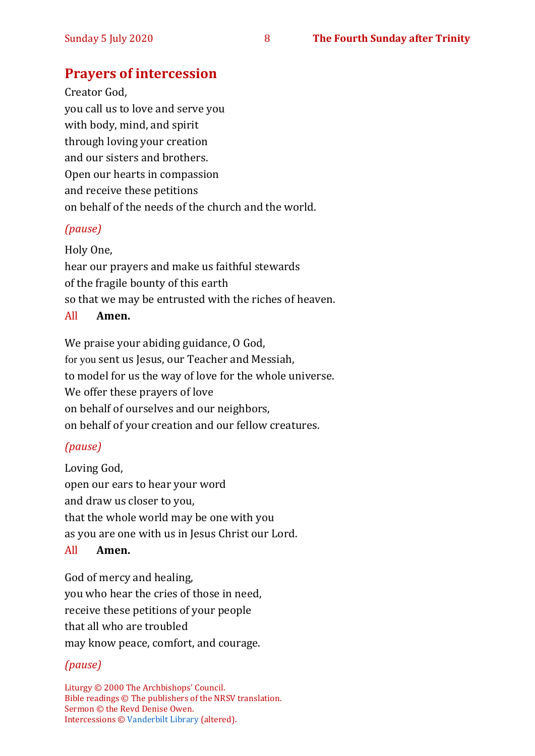## **Prayers of intercession**

Creator God, you call us to love and serve you with body, mind, and spirit through loving your creation and our sisters and brothers. Open our hearts in compassion and receive these petitions on behalf of the needs of the church and the world.

#### *(pause)*

#### Holy One,

hear our prayers and make us faithful stewards of the fragile bounty of this earth so that we may be entrusted with the riches of heaven.

#### All **Amen.**

We praise your abiding guidance, O God, for you sent us Jesus, our Teacher and Messiah, to model for us the way of love for the whole universe. We offer these prayers of love on behalf of ourselves and our neighbors, on behalf of your creation and our fellow creatures.

#### *(pause)*

Loving God, open our ears to hear your word and draw us closer to you, that the whole world may be one with you as you are one with us in Jesus Christ our Lord.

#### All **Amen.**

God of mercy and healing, you who hear the cries of those in need, receive these petitions of your people that all who are troubled may know peace, comfort, and courage.

#### *(pause)*

Liturgy © 2000 The Archbishops' Council. Bible readings © The publishers of the NRSV translation. Sermon © the Revd Denise Owen. Intercessions © [Vanderbilt Library](https://lectionary.library.vanderbilt.edu/prayers.php?id=149) (altered).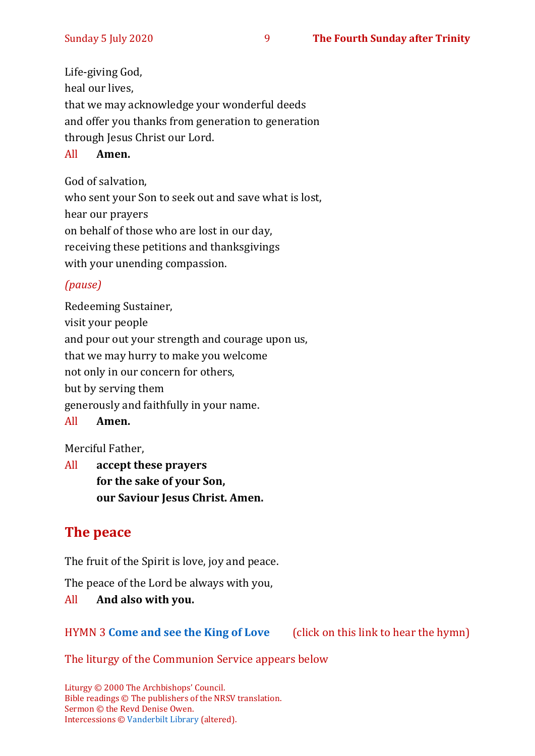Life-giving God, heal our lives, that we may acknowledge your wonderful deeds and offer you thanks from generation to generation through Jesus Christ our Lord.

#### All **Amen.**

God of salvation,

who sent your Son to seek out and save what is lost,

hear our prayers

on behalf of those who are lost in our day,

receiving these petitions and thanksgivings

with your unending compassion.

## *(pause)*

Redeeming Sustainer, visit your people and pour out your strength and courage upon us, that we may hurry to make you welcome not only in our concern for others, but by serving them generously and faithfully in your name.

### All **Amen.**

Merciful Father,

All **accept these prayers for the sake of your Son, our Saviour Jesus Christ. Amen.**

# **The peace**

The fruit of the Spirit is love, joy and peace.

The peace of the Lord be always with you,

### All **And also with you.**

HYMN 3 **[Come and see the King of Love](https://www.youtube.com/watch?v=Vz9rgVEm2WY)** (click on this link to hear the hymn)

The liturgy of the Communion Service appears below

Liturgy © 2000 The Archbishops' Council. Bible readings © The publishers of the NRSV translation. Sermon © the Revd Denise Owen. Intercessions © [Vanderbilt Library](https://lectionary.library.vanderbilt.edu/prayers.php?id=149) (altered).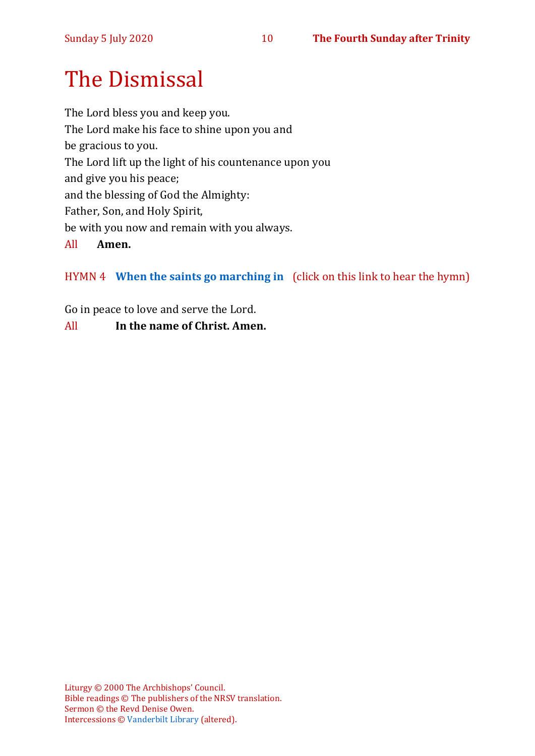# The Dismissal

The Lord bless you and keep you. The Lord make his face to shine upon you and be gracious to you. The Lord lift up the light of his countenance upon you and give you his peace; and the blessing of God the Almighty: Father, Son, and Holy Spirit, be with you now and remain with you always. All **Amen.**

HYMN 4 **[When the saints go marching in](https://www.youtube.com/watch?v=lkNPSlQbxNc)** (click on this link to hear the hymn)

Go in peace to love and serve the Lord.

All **In the name of Christ. Amen.**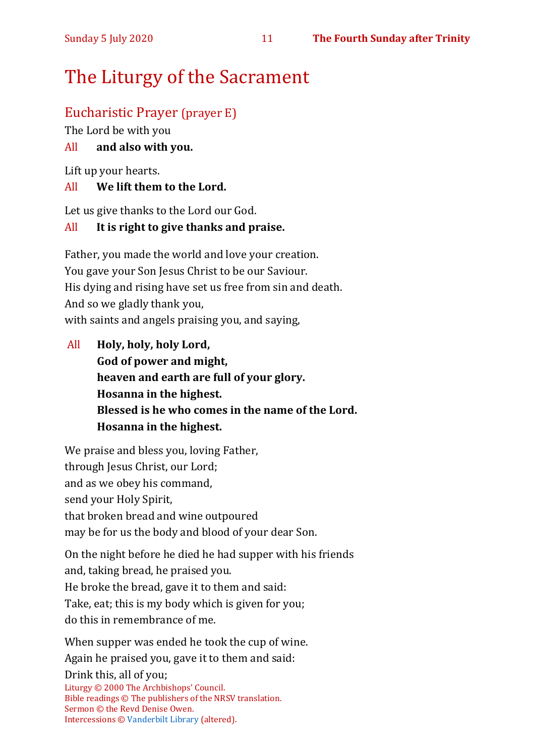# The Liturgy of the Sacrament

# Eucharistic Prayer (prayer E)

The Lord be with you

## All **and also with you.**

Lift up your hearts.

### All **We lift them to the Lord.**

Let us give thanks to the Lord our God.

## All **It is right to give thanks and praise.**

Father, you made the world and love your creation. You gave your Son Jesus Christ to be our Saviour. His dying and rising have set us free from sin and death. And so we gladly thank you, with saints and angels praising you, and saying,

All **Holy, holy, holy Lord, God of power and might, heaven and earth are full of your glory. Hosanna in the highest. Blessed is he who comes in the name of the Lord. Hosanna in the highest.**

We praise and bless you, loving Father, through Jesus Christ, our Lord; and as we obey his command, send your Holy Spirit, that broken bread and wine outpoured may be for us the body and blood of your dear Son.

On the night before he died he had supper with his friends and, taking bread, he praised you. He broke the bread, gave it to them and said: Take, eat; this is my body which is given for you; do this in remembrance of me.

When supper was ended he took the cup of wine. Again he praised you, gave it to them and said:

Liturgy © 2000 The Archbishops' Council. Bible readings © The publishers of the NRSV translation. Sermon © the Revd Denise Owen. Intercessions © [Vanderbilt Library](https://lectionary.library.vanderbilt.edu/prayers.php?id=149) (altered). Drink this, all of you;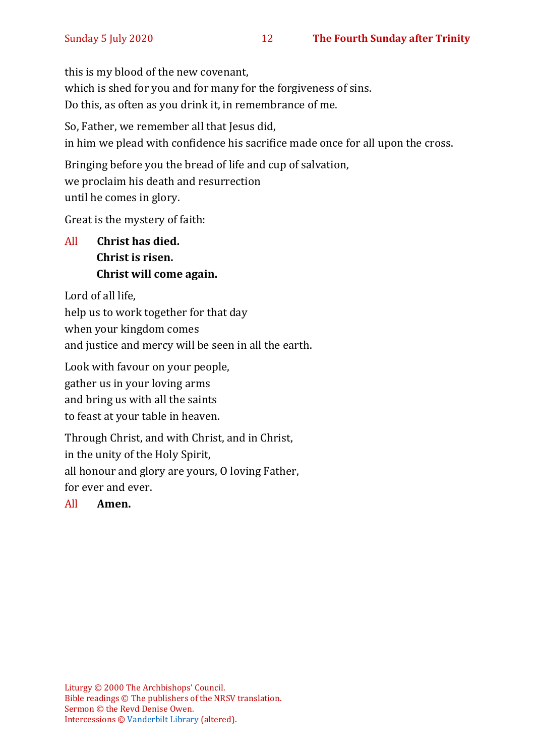this is my blood of the new covenant, which is shed for you and for many for the forgiveness of sins. Do this, as often as you drink it, in remembrance of me.

So, Father, we remember all that Jesus did, in him we plead with confidence his sacrifice made once for all upon the cross.

Bringing before you the bread of life and cup of salvation, we proclaim his death and resurrection until he comes in glory.

Great is the mystery of faith:

All **Christ has died. Christ is risen. Christ will come again.**

Lord of all life,

help us to work together for that day when your kingdom comes and justice and mercy will be seen in all the earth.

Look with favour on your people, gather us in your loving arms and bring us with all the saints to feast at your table in heaven.

Through Christ, and with Christ, and in Christ, in the unity of the Holy Spirit, all honour and glory are yours, O loving Father, for ever and ever.

All **Amen.**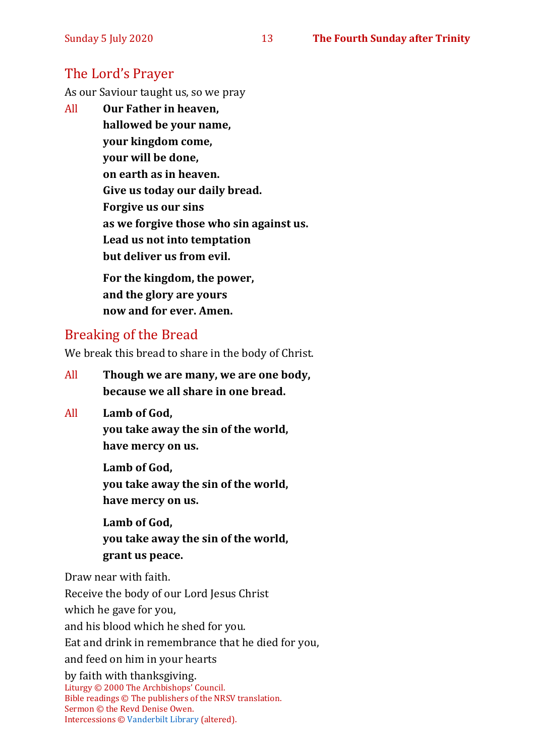## The Lord's Prayer

As our Saviour taught us, so we pray

All **Our Father in heaven, hallowed be your name, your kingdom come, your will be done, on earth as in heaven. Give us today our daily bread. Forgive us our sins as we forgive those who sin against us. Lead us not into temptation but deliver us from evil. For the kingdom, the power, and the glory are yours**

**now and for ever. Amen.**

## Breaking of the Bread

We break this bread to share in the body of Christ.

- All **Though we are many, we are one body, because we all share in one bread.**
- All **Lamb of God,**

**you take away the sin of the world, have mercy on us.**

**Lamb of God, you take away the sin of the world, have mercy on us.**

**Lamb of God, you take away the sin of the world, grant us peace.**

Draw near with faith.

Receive the body of our Lord Jesus Christ

which he gave for you,

and his blood which he shed for you.

Eat and drink in remembrance that he died for you,

and feed on him in your hearts

Liturgy © 2000 The Archbishops' Council. Bible readings © The publishers of the NRSV translation. Sermon © the Revd Denise Owen. Intercessions © [Vanderbilt Library](https://lectionary.library.vanderbilt.edu/prayers.php?id=149) (altered). by faith with thanksgiving.